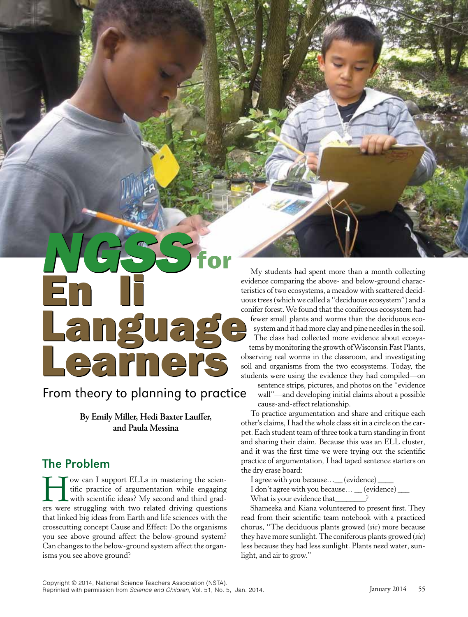# Languag Learners

# From theory to planning to practice

**By Emily Miller, Hedi Baxter Laufer, and Paula Messina** 

# The Problem

Tow can I support ELLs in mastering the scien-<br>tific practice of argumentation while engaging<br>with scientific ideas? My second and third grad-<br>ers were struggling with two related driving questions tifc practice of argumentation while engaging with scientifc ideas? My second and third graders were struggling with two related driving questions that linked big ideas from Earth and life sciences with the crosscutting concept Cause and Effect: Do the organisms you see above ground affect the below-ground system? Can changes to the below-ground system affect the organisms you see above ground?

My students had spent more than a month collecting evidence comparing the above- and below-ground characteristics of two ecosystems, a meadow with scattered deciduous trees (which we called a "deciduous ecosystem") and a conifer forest. We found that the coniferous ecosystem had fewer small plants and worms than the deciduous ecosystem and it had more clay and pine needles in the soil. The class had collected more evidence about ecosystems by monitoring the growth of Wisconsin Fast Plants, observing real worms in the classroom, and investigating soil and organisms from the two ecosystems. Today, the students were using the evidence they had compiled—on

sentence strips, pictures, and photos on the "evidence wall"—and developing initial claims about a possible cause-and-effect relationship.

To practice argumentation and share and critique each other's claims, I had the whole class sit in a circle on the carpet. Each student team of three took a turn standing in front and sharing their claim. Because this was an ELL cluster, and it was the frst time we were trying out the scientifc practice of argumentation, I had taped sentence starters on the dry erase board:

I agree with you because... (evidence)

I don't agree with you because...  $\_\_$  (evidence)  $\_\_$ What is your evidence that\_\_\_\_\_\_?

Shameeka and Kiana volunteered to present frst. They read from their scientifc team notebook with a practiced chorus, "The deciduous plants growed (*sic*) more because they have more sunlight. The coniferous plants growed (*sic*) less because they had less sunlight. Plants need water, sunlight, and air to grow."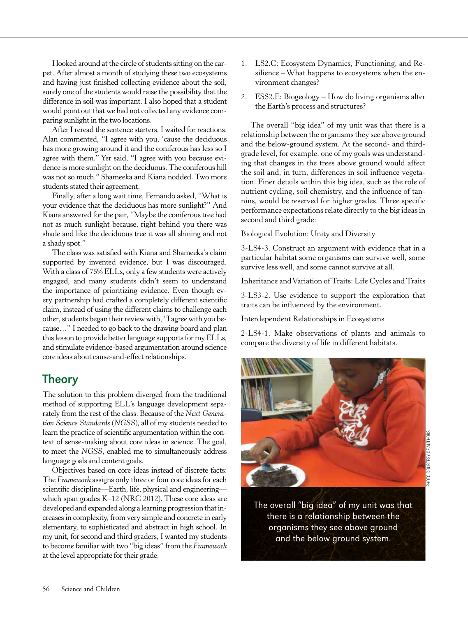I looked around at the circle of students sitting on the carpet. After almost a month of studying these two ecosystems and having just fnished collecting evidence about the soil, surely one of the students would raise the possibility that the difference in soil was important. I also hoped that a student would point out that we had not collected any evidence comparing sunlight in the two locations.

After I reread the sentence starters, I waited for reactions. Alan commented, "I agree with you, 'cause the deciduous has more growing around it and the coniferous has less so I agree with them." Yer said, "I agree with you because evidence is more sunlight on the deciduous. The coniferous hill was not so much." Shameeka and Kiana nodded. Two more students stated their agreement.

Finally, after a long wait time, Fernando asked, "What is your evidence that the deciduous has more sunlight?" And Kiana answered for the pair, "Maybe the coniferous tree had not as much sunlight because, right behind you there was shade and like the deciduous tree it was all shining and not a shady spot."

The class was satisfed with Kiana and Shameeka's claim supported by invented evidence, but I was discouraged. With a class of 75% ELLs, only a few students were actively engaged, and many students didn't seem to understand the importance of prioritizing evidence. Even though every partnership had crafted a completely different scientifc claim, instead of using the different claims to challenge each other, students began their review with, "I agree with you because…" I needed to go back to the drawing board and plan this lesson to provide better language supports for my ELLs, and stimulate evidence-based argumentation around science core ideas about cause-and-effect relationships.

## **Theory**

The solution to this problem diverged from the traditional method of supporting ELL's language development separately from the rest of the class. Because of the *Next Generation Science Standards* (*NGSS*), all of my students needed to learn the practice of scientifc argumentation within the context of sense-making about core ideas in science. The goal, to meet the *NGSS*, enabled me to simultaneously address language goals and content goals.

Objectives based on core ideas instead of discrete facts: The *Framework* assigns only three or four core ideas for each scientifc discipline—Earth, life, physical and engineering which span grades K–12 (NRC 2012). These core ideas are developed and expanded along a learning progression that increases in complexity, from very simple and concrete in early elementary, to sophisticated and abstract in high school. In my unit, for second and third graders, I wanted my students to become familiar with two "big ideas" from the *Framework*  at the level appropriate for their grade:

- 1. LS2.C: Ecosystem Dynamics, Functioning, and Resilience – What happens to ecosystems when the environment changes?
- 2. ESS2.E: Biogeology How do living organisms alter the Earth's process and structures?

The overall "big idea" of my unit was that there is a relationship between the organisms they see above ground and the below-ground system. At the second- and thirdgrade level, for example, one of my goals was understanding that changes in the trees above ground would affect the soil and, in turn, differences in soil infuence vegetation. Finer details within this big idea, such as the role of nutrient cycling, soil chemistry, and the infuence of tannins, would be reserved for higher grades. Three specifc performance expectations relate directly to the big ideas in second and third grade:

Biological Evolution: Unity and Diversity

3-LS4-3. Construct an argument with evidence that in a particular habitat some organisms can survive well, some survive less well, and some cannot survive at all.

Inheritance and Variation of Traits: Life Cycles and Traits

3-LS3-2. Use evidence to support the exploration that traits can be infuenced by the environment.

Interdependent Relationships in Ecosystems

2-LS4-1. Make observations of plants and animals to compare the diversity of life in different habitats.



The overall "big idea" of my unit was that there is a relationship between the organisms they see above ground and the below-ground system.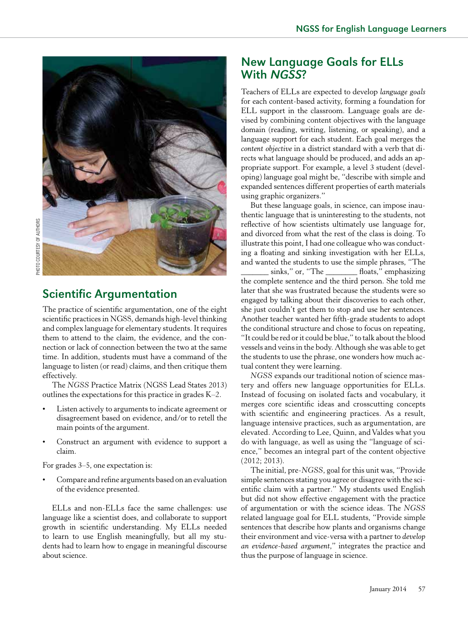

# **Scientific Argumentation**

The practice of scientifc argumentation, one of the eight scientifc practices in NGSS, demands high-level thinking and complex language for elementary students. It requires them to attend to the claim, the evidence, and the connection or lack of connection between the two at the same time. In addition, students must have a command of the language to listen (or read) claims, and then critique them effectively.

The *NGSS* Practice Matrix (NGSS Lead States 2013) outlines the expectations for this practice in grades K–2.

- Listen actively to arguments to indicate agreement or disagreement based on evidence, and/or to retell the main points of the argument.
- Construct an argument with evidence to support a claim.

For grades 3–5, one expectation is:

• Compare and refne arguments based on an evaluation of the evidence presented.

ELLs and non-ELLs face the same challenges: use language like a scientist does, and collaborate to support growth in scientifc understanding. My ELLs needed to learn to use English meaningfully, but all my students had to learn how to engage in meaningful discourse about science.

## New Language Goals for ELLs With NGSS?

Teachers of ELLs are expected to develop *language goals*  for each content-based activity, forming a foundation for ELL support in the classroom. Language goals are devised by combining content objectives with the language domain (reading, writing, listening, or speaking), and a language support for each student. Each goal merges the *content objective* in a district standard with a verb that directs what language should be produced, and adds an appropriate support. For example, a level 3 student (developing) language goal might be, "describe with simple and expanded sentences different properties of earth materials using graphic organizers."

But these language goals, in science, can impose inauthentic language that is uninteresting to the students, not refective of how scientists ultimately use language for, and divorced from what the rest of the class is doing. To illustrate this point, I had one colleague who was conducting a foating and sinking investigation with her ELLs, and wanted the students to use the simple phrases, "The sinks," or, "The \_\_\_\_\_\_\_\_ floats," emphasizing the complete sentence and the third person. She told me later that she was frustrated because the students were so engaged by talking about their discoveries to each other, she just couldn't get them to stop and use her sentences. Another teacher wanted her ffth-grade students to adopt the conditional structure and chose to focus on repeating, "It could be red or it could be blue," to talk about the blood vessels and veins in the body. Although she was able to get the students to use the phrase, one wonders how much actual content they were learning.

*NGSS* expands our traditional notion of science mastery and offers new language opportunities for ELLs. Instead of focusing on isolated facts and vocabulary, it merges core scientifc ideas and crosscutting concepts with scientific and engineering practices. As a result, language intensive practices, such as argumentation, are elevated. According to Lee, Quinn, and Valdes what you do with language, as well as using the "language of science," becomes an integral part of the content objective (2012; 2013).

The initial, pre-*NGSS*, goal for this unit was, "Provide simple sentences stating you agree or disagree with the scientifc claim with a partner." My students used English but did not show effective engagement with the practice of argumentation or with the science ideas. The *NGSS*  related language goal for ELL students, "Provide simple sentences that describe how plants and organisms change their environment and vice-versa with a partner to *develop an evidence-based argument*," integrates the practice and thus the purpose of language in science.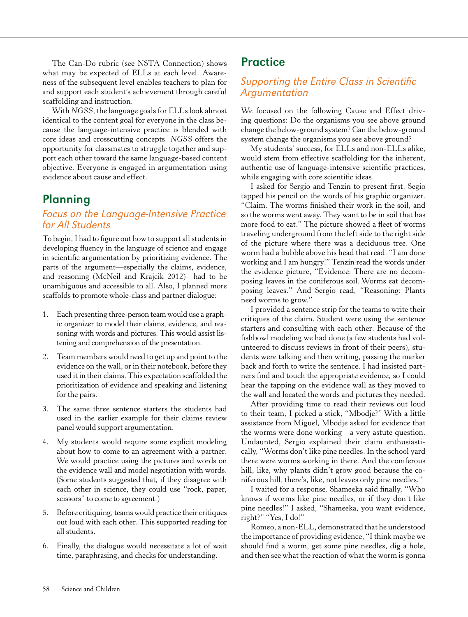The Can-Do rubric (see NSTA Connection) shows what may be expected of ELLs at each level. Awareness of the subsequent level enables teachers to plan for and support each student's achievement through careful scaffolding and instruction.

With *NGSS*, the language goals for ELLs look almost identical to the content goal for everyone in the class because the language-intensive practice is blended with core ideas and crosscutting concepts. *NGSS* offers the opportunity for classmates to struggle together and support each other toward the same language-based content objective. Everyone is engaged in argumentation using evidence about cause and effect.

## **Planning**

#### Focus on the Language-Intensive Practice for All Students

To begin, I had to fgure out how to support all students in developing fuency in the language of science and engage in scientifc argumentation by prioritizing evidence. The parts of the argument—especially the claims, evidence, and reasoning (McNeil and Krajcik 2012)—had to be unambiguous and accessible to all. Also, I planned more scaffolds to promote whole-class and partner dialogue:

- 1. Each presenting three-person team would use a graphic organizer to model their claims, evidence, and reasoning with words and pictures. This would assist listening and comprehension of the presentation.
- 2. Team members would need to get up and point to the evidence on the wall, or in their notebook, before they used it in their claims. This expectation scaffolded the prioritization of evidence and speaking and listening for the pairs.
- 3. The same three sentence starters the students had used in the earlier example for their claims review panel would support argumentation.
- 4. My students would require some explicit modeling about how to come to an agreement with a partner. We would practice using the pictures and words on the evidence wall and model negotiation with words. (Some students suggested that, if they disagree with each other in science, they could use "rock, paper, scissors" to come to agreement.)
- 5. Before critiquing, teams would practice their critiques out loud with each other. This supported reading for all students.
- 6. Finally, the dialogue would necessitate a lot of wait time, paraphrasing, and checks for understanding.

## **Practice**

### Supporting the Entire Class in Scientific Argumentation

We focused on the following Cause and Effect driving questions: Do the organisms you see above ground change the below-ground system? Can the below-ground system change the organisms you see above ground?

My students' success, for ELLs and non-ELLs alike, would stem from effective scaffolding for the inherent, authentic use of language-intensive scientifc practices, while engaging with core scientific ideas.

I asked for Sergio and Tenzin to present frst. Segio tapped his pencil on the words of his graphic organizer. "Claim. The worms fnished their work in the soil, and so the worms went away. They want to be in soil that has more food to eat." The picture showed a fleet of worms traveling underground from the left side to the right side of the picture where there was a deciduous tree. One worm had a bubble above his head that read, "I am done working and I am hungry!" Tenzin read the words under the evidence picture, "Evidence: There are no decomposing leaves in the coniferous soil. Worms eat decomposing leaves." And Sergio read, "Reasoning: Plants need worms to grow."

I provided a sentence strip for the teams to write their critiques of the claim. Student were using the sentence starters and consulting with each other. Because of the fshbowl modeling we had done (a few students had volunteered to discuss reviews in front of their peers), students were talking and then writing, passing the marker back and forth to write the sentence. I had insisted partners fnd and touch the appropriate evidence, so I could hear the tapping on the evidence wall as they moved to the wall and located the words and pictures they needed.

After providing time to read their reviews out loud to their team, I picked a stick, "Mbodje?" With a little assistance from Miguel, Mbodje asked for evidence that the worms were done working—a very astute question. Undaunted, Sergio explained their claim enthusiastically, "Worms don't like pine needles. In the school yard there were worms working in there. And the coniferous hill, like, why plants didn't grow good because the coniferous hill, there's, like, not leaves only pine needles."

I waited for a response. Shameeka said fnally, "Who knows if worms like pine needles, or if they don't like pine needles!" I asked, "Shameeka, you want evidence, right?" "Yes, I do!"

Romeo, a non-ELL, demonstrated that he understood the importance of providing evidence, "I think maybe we should fnd a worm, get some pine needles, dig a hole, and then see what the reaction of what the worm is gonna